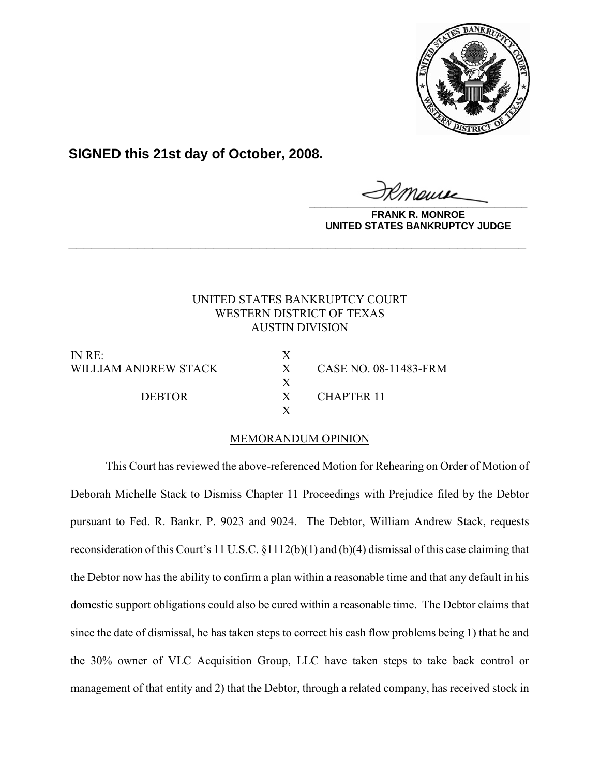

**SIGNED this 21st day of October, 2008.**

**\_\_\_\_\_\_\_\_\_\_\_\_\_\_\_\_\_\_\_\_\_\_\_\_\_\_\_\_\_\_\_\_\_\_\_\_\_\_\_\_**

**FRANK R. MONROE UNITED STATES BANKRUPTCY JUDGE**

## UNITED STATES BANKRUPTCY COURT WESTERN DISTRICT OF TEXAS AUSTIN DIVISION

**\_\_\_\_\_\_\_\_\_\_\_\_\_\_\_\_\_\_\_\_\_\_\_\_\_\_\_\_\_\_\_\_\_\_\_\_\_\_\_\_\_\_\_\_\_\_\_\_\_\_\_\_\_\_\_\_\_\_\_\_**

IN RE: X WILLIAM ANDREW STACK X CASE NO. 08-11483-FRM

DEBTOR X CHAPTER 11

## MEMORANDUM OPINION

X

X

This Court has reviewed the above-referenced Motion for Rehearing on Order of Motion of Deborah Michelle Stack to Dismiss Chapter 11 Proceedings with Prejudice filed by the Debtor pursuant to Fed. R. Bankr. P. 9023 and 9024. The Debtor, William Andrew Stack, requests reconsideration of this Court's 11 U.S.C. §1112(b)(1) and (b)(4) dismissal of this case claiming that the Debtor now has the ability to confirm a plan within a reasonable time and that any default in his domestic support obligations could also be cured within a reasonable time. The Debtor claims that since the date of dismissal, he has taken steps to correct his cash flow problems being 1) that he and the 30% owner of VLC Acquisition Group, LLC have taken steps to take back control or management of that entity and 2) that the Debtor, through a related company, has received stock in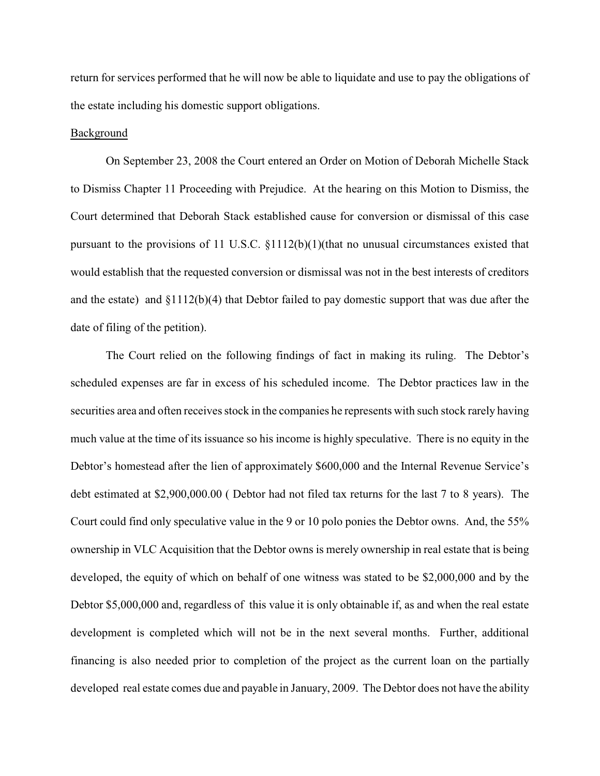return for services performed that he will now be able to liquidate and use to pay the obligations of the estate including his domestic support obligations.

## Background

On September 23, 2008 the Court entered an Order on Motion of Deborah Michelle Stack to Dismiss Chapter 11 Proceeding with Prejudice. At the hearing on this Motion to Dismiss, the Court determined that Deborah Stack established cause for conversion or dismissal of this case pursuant to the provisions of 11 U.S.C. §1112(b)(1)(that no unusual circumstances existed that would establish that the requested conversion or dismissal was not in the best interests of creditors and the estate) and §1112(b)(4) that Debtor failed to pay domestic support that was due after the date of filing of the petition).

The Court relied on the following findings of fact in making its ruling. The Debtor's scheduled expenses are far in excess of his scheduled income. The Debtor practices law in the securities area and often receives stock in the companies he represents with such stock rarely having much value at the time of its issuance so his income is highly speculative. There is no equity in the Debtor's homestead after the lien of approximately \$600,000 and the Internal Revenue Service's debt estimated at \$2,900,000.00 ( Debtor had not filed tax returns for the last 7 to 8 years). The Court could find only speculative value in the 9 or 10 polo ponies the Debtor owns. And, the 55% ownership in VLC Acquisition that the Debtor owns is merely ownership in real estate that is being developed, the equity of which on behalf of one witness was stated to be \$2,000,000 and by the Debtor \$5,000,000 and, regardless of this value it is only obtainable if, as and when the real estate development is completed which will not be in the next several months. Further, additional financing is also needed prior to completion of the project as the current loan on the partially developed real estate comes due and payable in January, 2009. The Debtor does not have the ability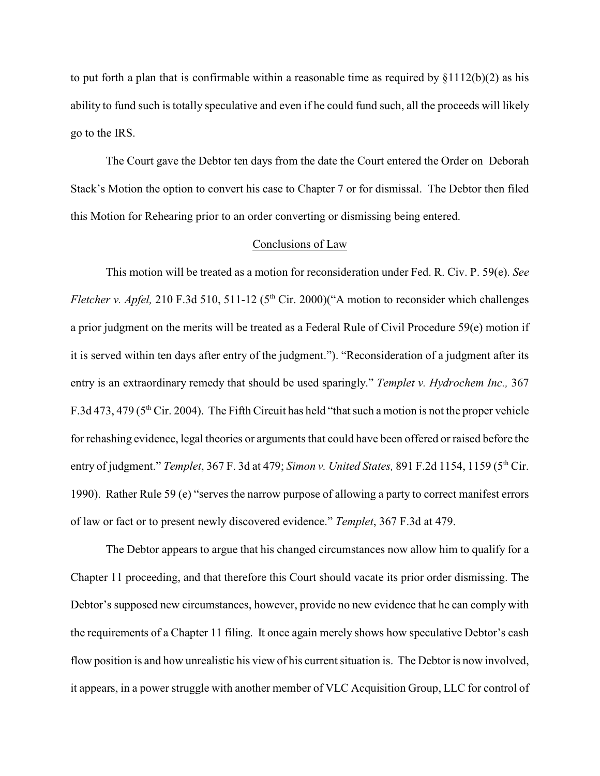to put forth a plan that is confirmable within a reasonable time as required by  $\S1112(b)(2)$  as his ability to fund such is totally speculative and even if he could fund such, all the proceeds will likely go to the IRS.

The Court gave the Debtor ten days from the date the Court entered the Order on Deborah Stack's Motion the option to convert his case to Chapter 7 or for dismissal. The Debtor then filed this Motion for Rehearing prior to an order converting or dismissing being entered.

## Conclusions of Law

This motion will be treated as a motion for reconsideration under Fed. R. Civ. P. 59(e). *See Fletcher v. Apfel,* 210 F.3d 510, 511-12 (5<sup>th</sup> Cir. 2000)("A motion to reconsider which challenges a prior judgment on the merits will be treated as a Federal Rule of Civil Procedure 59(e) motion if it is served within ten days after entry of the judgment."). "Reconsideration of a judgment after its entry is an extraordinary remedy that should be used sparingly." *Templet v. Hydrochem Inc.,* 367 F.3d 473, 479 ( $5<sup>th</sup>$  Cir. 2004). The Fifth Circuit has held "that such a motion is not the proper vehicle for rehashing evidence, legal theories or arguments that could have been offered or raised before the entry of judgment." *Templet*, 367 F. 3d at 479; *Simon v. United States*, 891 F.2d 1154, 1159 (5<sup>th</sup> Cir. 1990). Rather Rule 59 (e) "serves the narrow purpose of allowing a party to correct manifest errors of law or fact or to present newly discovered evidence." *Templet*, 367 F.3d at 479.

The Debtor appears to argue that his changed circumstances now allow him to qualify for a Chapter 11 proceeding, and that therefore this Court should vacate its prior order dismissing. The Debtor's supposed new circumstances, however, provide no new evidence that he can comply with the requirements of a Chapter 11 filing. It once again merely shows how speculative Debtor's cash flow position is and how unrealistic his view of his current situation is. The Debtor is now involved, it appears, in a power struggle with another member of VLC Acquisition Group, LLC for control of